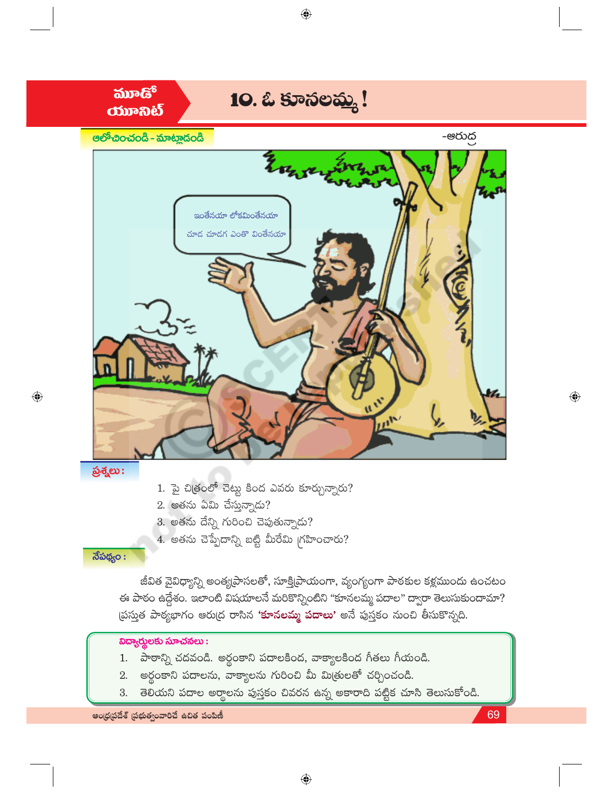

ఆంధ్రప్రదేశ్ (పభుత్వంవారిచే ఉచిత పంపిణీ

69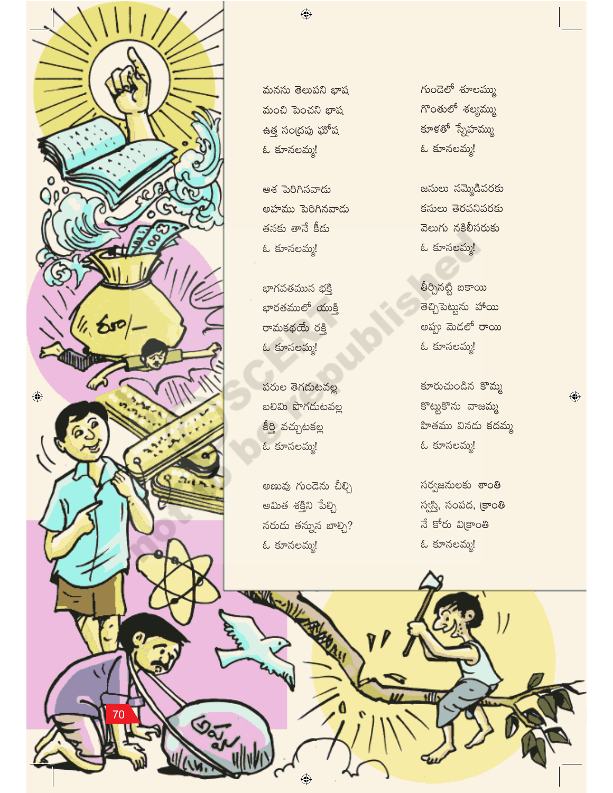

మనసు తెలుపని భాష మంచి పెంచని భాష ఉత్త సంద్రపు ఘోష ఓ కూనలమ్మ!

 $\bigoplus$ 

ఆశ పెరిగినవాడు అహము పెరిగినవాడు తనకు తానే కీడు ఓ కూనలమ్మ!

భాగవతమున భక్తి భారతములో యుక్తి రామకథయే రక్తి ఓ కూనలమ్మ!

పరుల తెగడుటవల్ల బలిమి పొగదుటవల్ల కీర్తి వచ్చుటకల్ల ఓ కూనలమ్మ!

అణువు గుండెను చీల్చి అమిత శక్తిని పేల్చి నరుడు తన్నున బాల్చి? ఓ కూనలమ్మ!

**REMARKAN** 

గుండెలో శూలమ్ము గొంతులో శల్యమ్ము కూళతో స్నేహమ్ము ఓ కూనలమ్మ!

జనులు నమ్మెడివరకు కనులు తెరవనివరకు వెలుగు నకిలీసరుకు ఓ కూనలమ్మ!

తీర్చినట్టి బకాయి తెచ్చిపెట్టును హాయి అప్పు మెడలో రాయి ఓ కూనలమ్మ!

కూరుచుండిన కొమ్మ కొట్టుకొను వాజమ్మ హితము వినడు కదమ్మ ఓ కూనలమ్మ!

 $\bigoplus$ 

సర్వజనులకు శాంతి స్వస్తి, సంపద, <mark>క్రాంతి</mark> నే కోరు విక్రాంతి ఓ కూనలమ్మ!

ш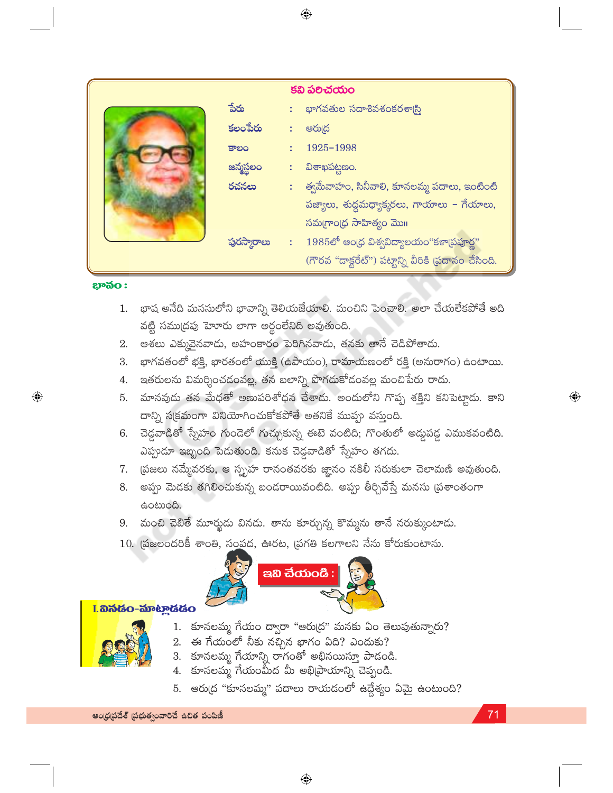|  |              | కవి పలిచయం                                          |
|--|--------------|-----------------------------------------------------|
|  | పేరు         | : భాగవతుల సదాశివశంకరశా్స                            |
|  | కలంపేరు      | ఆరు(ద                                               |
|  | కాలం         | 1925-1998                                           |
|  | జన్మస్థలం    | విశాఖపట్టణం.                                        |
|  | రచనలు        | :     త్వమేవాహం, సినీవాలి, కూనలమ్మ పదాలు, ఇంటింటి   |
|  |              | పజ్యాలు, శుద్ధమధ్యాక్కరలు, గాయాలు – గేయాలు,         |
|  |              | సమగ్రాంధ్ర సాహిత్యం మొగ                             |
|  | ఫ్రరస్మారాలు | 1985లో ఆంధ్ర విశ్వవిద్యాలయం"కళా[పపూర్ణ"             |
|  |              | (గౌరవ "దాక్టరేట్") పట్టాన్ని వీరికి (పదానం చేసింది. |

#### **ಭೌನಂ:**

 $\bigoplus$ 

- భాష అనేది మనసులోని భావాన్ని తెలియజేయాలి. మంచిని పెంచాలి. అలా చేయలేకపోతే అది 1. వట్టి సముద్రపు హెూరు లాగా అర్థంలేనిది అవుతుంది.
- 2. ఆశలు ఎక్కువైనవాదు, అహంకారం పెరిగినవాదు, తనకు తానే చెడిపోతాదు.
- భాగవతంలో భక్తి, భారతంలో యుక్తి (ఉపాయం), రామాయణంలో రక్తి (అసురాగం) ఉంటాయి. 3.
- 4. ఇతరులను విమర్శించడంవల్ల, తన బలాన్ని పొగడుకోడంవల్ల మంచిపేరు రాదు.
- మానవుడు తన మేధతో అణుపరిశోధన చేశాదు. అందులోని గొప్ప శక్తిని కనిపెట్తాడు. కాని 5. దాన్ని స(క్రమంగా వినియోగించుకోకపోతే అతనికే ముప్పు వస్తుంది.
- 6. చెడ్డవాడితో స్నేహం గుండెలో గుచ్చుకున్న ఈటె వంటిది; గొంతులో అద్దపడ్డ ఎముకవంటిది. ఎప్పుడూ ఇబ్బంది పెడుతుంది. కనుక చెడ్డవాడితో స్నేహం తగదు.
- 7. [పజలు నమ్మేవరకు, ఆ స్బృహ రానంతవరకు జ్ఞానం నకిలీ సరుకులా చెలామణి అవుతుంది.
- 8. అప్పు మెడకు తగిలించుకున్న బండరాయివంటిది. అప్పు తీర్చివేస్తే మనసు (పశాంతంగా සංහාංයි.
- మంచి చెబితే మూర్ఖదు వినదు. తాను కూర్చున్న కొమ్మను తానే నరుక్కుంటాదు. 9.
- 10. (పజలందరికీ శాంతి, సంపద, ఊరట, (పగతి కలగాలని నేను కోరుకుంటాను.



### I. හිතියි - කිංහලයියි o



- 1. కూనలమ్మ గేయం ద్వారా "ఆరుద్ర" మనకు ఏం తెలుపుతున్నారు?
- $2.$  ఈ గేయంలో నీకు నచ్చిన భాగం ఏది? ఎందుకు?
- 3. కూనలమ్మ గేయాన్ని రాగంతో అభినయిస్తూ పాడండి.
- 4. కూనలమ్మ గేయంమీద మీ అభి[పాయాన్ని చెప్పండి.
- 5. ఆరు(ద "కూనలమ్మ" పదాలు రాయడంలో ఉద్దేశ్యం ఏమై ఉంటుంది?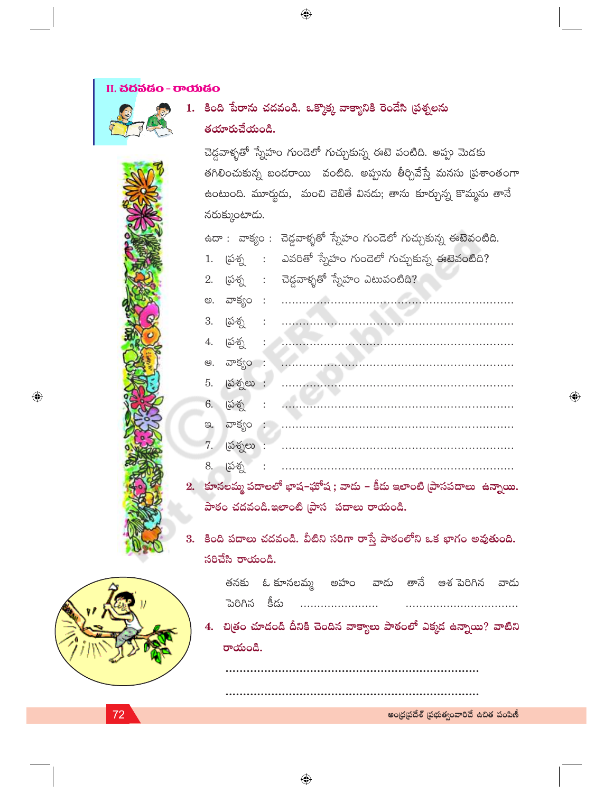## II. ಬೆದೆನಡೆಂ - ರಾಯೆಡೆಂ

# 1. కింది పేరాను చదవండి. ఒక్కొక్క వాక్యానికి రెండేసి (పశ్నలను తయారుచేయండి.

 $\bigoplus$ 

చెడ్డవాకృతో స్నేహం గుండెలో గుచ్చుకున్న ఈటె వంటిది. అప్పు మెడకు తగిలించుకున్న బందరాయి వంటిది. అప్పును తీర్చివేస్తే మనసు (ప్రశాంతంగా ఉంటుంది. మూర్హుడు, మంచి చెబితే వినడు; తాను కూర్చున్న కొమ్మను తానే నరుక్కుంటాడు.

ఉదా : వాక్యం : చెడ్డవాళ్ళతో స్నేహం గుండెలో గుచ్చుకున్న ఈటెవంటిది. 1. (పశ్న : ఎవరితో స్నేహం గుండెలో గుచ్చుకున్న ఈటెవంటిది? 2. (పశ్న : చెడ్డవాళ్ళతో స్నేహం ఎటువంటిది? 6. (పశ్న  $\ddot{\cdot}$ 7. (పశ్నలు : 8. [పశ్న 2. కూనలమ్మ పదాలలో భాష-ఘోష ; వాదు – కీదు ఇలాంటి [పాసపదాలు ఉన్నాయి.

పాఠం చదవండి.ఇలాంటి (పాస పదాలు రాయండి.

3. కింది పదాలు చదవండి. వీటిని సరిగా రాస్తే పాఠంలోని ఒక భాగం అవుతుంది. సరిచేసి రాయండి.



 $\textcolor{black}{\textcircled{\small\textrm{-}}}$ 

|              |  |  | తనకు ఓ్కూనలమ్మ అహం వాడు తానే ఆశ్ పరిగిన వాడు |  |
|--------------|--|--|----------------------------------------------|--|
| పెరిగిన కీడు |  |  |                                              |  |

4. చిత్రం చూడండి దీనికి చెందిన వాక్యాలు పాఠంలో ఎక్కడ ఉన్నాయి? వాటిని రాయండి.

ఆంధ్రప్రదేశ్ (పభుత్వంవారిచే ఉచిత పంపిణీ

 $\bigoplus$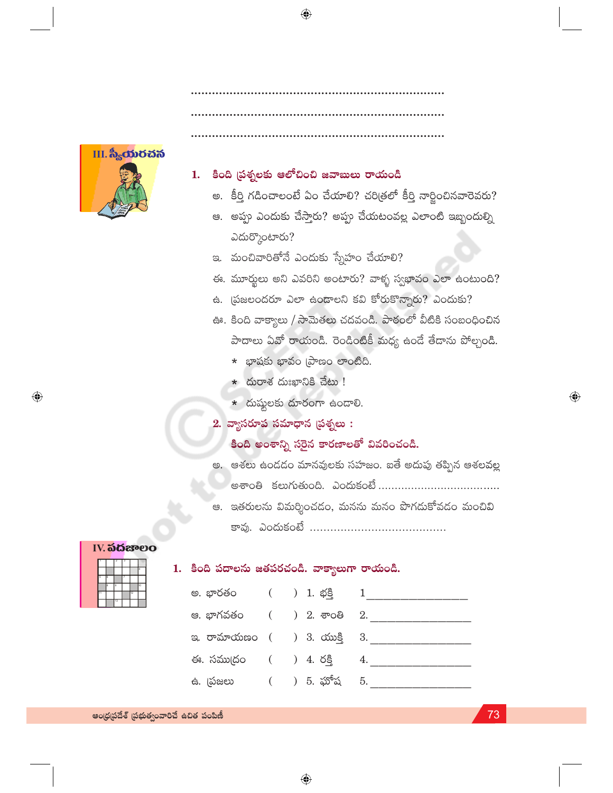

# 1. కింది ప్రశ్నలకు ఆలోచించి జవాబులు రాయండి

- అ. కీర్తి గడించాలంటే ఏం చేయాలి? చరిత్రలో కీర్తి నార్జించినవారెవరు?
- ఆ. అప్పు ఎందుకు చేస్తారు? అప్పు చేయటంవల్ల ఎలాంటి ఇబ్బందుల్ని ఎదుర్కొంటారు?
- ఇ. మంచివారితోనే ఎందుకు స్నేహం చేయాలి?
- ఈ. మూర్ఖలు అని ఎవరిని అంటారు? వాళ్ళ స్వభావం ఎలా ఉంటుంది?
- ఉ. [పజలందరూ ఎలా ఉండాలని కవి కోరుకొన్నారు? ఎందుకు?
- ఊ. కింది వాక్యాలు / సామెతలు చదవండి. పాఠంలో వీటికి సంబంధించిన పాదాలు ఏవో రాయండి. రెండింటికీ మధ్య ఉండే తేడాను పోల్చండి.
	- \* భాషకు భావం (పాణం లాంటిది.
	- $\star$  దురాశ దుఃఖానికి చేటు !
	- $*$  దుష్టులకు దూరంగా ఉండాలి.
- $2.$  వ్యాసరూప సమాధాన (పశ్నలు :

# కింది అంశాన్ని సరైన కారణాలతో వివరించండి.

- అ. ఆశలు ఉండడం మానవులకు సహజం. ఐతే అదుపు తప్పిన ఆశలవల్ల అశాంతి కలుగుతుంది. ఎందుకంటే .................................
- ఆ. ఇతరులను విమర్శించడం, మనను మనం పొగదుకోవడం మంచివి

#### **IV. ನದಚೌಲಂ**

 $\bigcirc$ 

# 1. కింది పదాలను జతపరచండి. వాక్యాలుగా రాయండి.

|   | 7              | 7 |    |    |
|---|----------------|---|----|----|
|   |                |   |    | ä  |
| k |                |   |    |    |
| ۵ | $\overline{a}$ |   |    | ho |
|   |                |   | 12 |    |
|   | 13             |   |    |    |

|  |  | 4.                                                                                                                                                                |
|--|--|-------------------------------------------------------------------------------------------------------------------------------------------------------------------|
|  |  |                                                                                                                                                                   |
|  |  | అ. భారతం () 1. భక్తి 1<br>ఆ. భాగవతం      () 2. శాంతి   2.<br>ఇ. రామాయణం ( ) 3. యుక్తి 3.<br>ఈ. సముద్రం     (     )  4. రక్తి<br><del>ఉ</del> . (పజలు () 5. ఘోష 5. |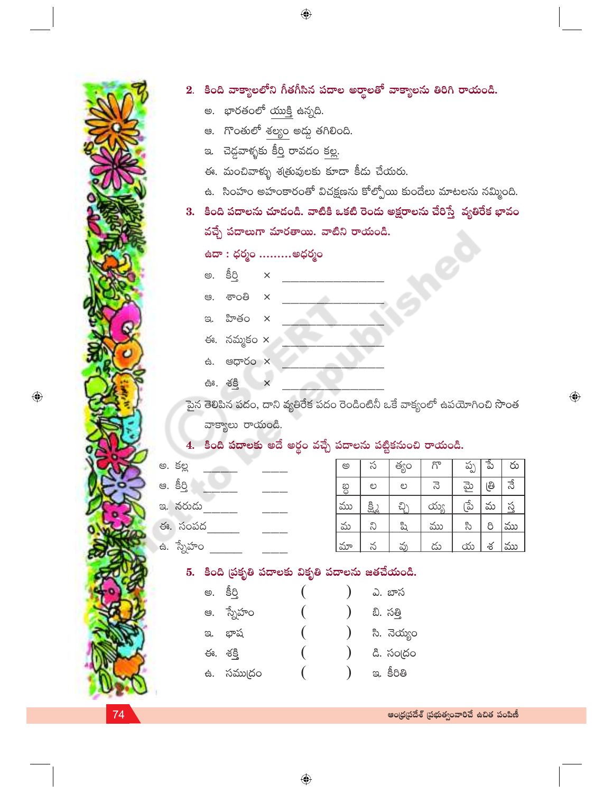|                                                                                |                                       |                                      |              |  | 2.  కింది వాక్యాలలోని గీతగీసిన పదాల అర్థాలతో వాక్యాలను తిరిగి రాయండి. |               |                                         |           |          |     |                       |  |
|--------------------------------------------------------------------------------|---------------------------------------|--------------------------------------|--------------|--|-----------------------------------------------------------------------|---------------|-----------------------------------------|-----------|----------|-----|-----------------------|--|
|                                                                                |                                       | అ.  భారతంలో యుక్తి ఉన్నది.           |              |  |                                                                       |               |                                         |           |          |     |                       |  |
|                                                                                |                                       | ఆ.   గొంతులో శల్యం అడ్డు తగిలింది.   |              |  |                                                                       |               |                                         |           |          |     |                       |  |
|                                                                                |                                       | ఇ. - చెడ్డవాళ్ళకు కీర్తి రావడం కల్ల. |              |  |                                                                       |               |                                         |           |          |     |                       |  |
|                                                                                |                                       |                                      |              |  | ఈ. మంచివాళ్ళు శ్రతువులకు కూడా కీదు చేయరు.                             |               |                                         |           |          |     |                       |  |
| ఉ. సింహం అహంకారంతో విచక్షణను కోల్పోయి కుందేలు మాటలను నమ్మింది.                 |                                       |                                      |              |  |                                                                       |               |                                         |           |          |     |                       |  |
| కింది పదాలను చూడండి. వాటికి ఒకటి రెండు అక్షరాలను చేరిస్తే  వ్యతిరేక భావం<br>3. |                                       |                                      |              |  |                                                                       |               |                                         |           |          |     |                       |  |
|                                                                                | వచ్చే పదాలుగా మారతాయి. వాటిని రాయండి. |                                      |              |  |                                                                       |               |                                         |           |          |     |                       |  |
|                                                                                |                                       | ఉదా : ధర్మం అధర్మం                   |              |  |                                                                       |               |                                         |           |          |     |                       |  |
|                                                                                | అ.                                    | <u>පිරි</u>                          | $\times$     |  |                                                                       |               |                                         |           |          |     |                       |  |
|                                                                                | ප.                                    | ಕಾಂತಿ                                | $\mathsf{X}$ |  |                                                                       |               |                                         |           |          |     |                       |  |
|                                                                                |                                       | ఇ. హితం x                            |              |  |                                                                       |               |                                         |           |          |     |                       |  |
|                                                                                |                                       | ఈ. నమ్మకం $\times$                   |              |  |                                                                       |               |                                         |           |          |     |                       |  |
|                                                                                |                                       | க். <b>மரூ</b> 60 x                  |              |  |                                                                       |               |                                         |           |          |     |                       |  |
|                                                                                | ఊ. శక్తి<br>$\times$                  |                                      |              |  |                                                                       |               |                                         |           |          |     |                       |  |
| పైన తెలిపిన పదం, దాని వ్యతిరేక పదం రెండింటినీ ఒకే వాక్యంలో ఉపయోగించి సొంత      |                                       |                                      |              |  |                                                                       |               |                                         |           |          |     |                       |  |
| వాక్యాలు రాయండి.                                                               |                                       |                                      |              |  |                                                                       |               |                                         |           |          |     |                       |  |
|                                                                                |                                       |                                      |              |  | 4.  కింది పదాలకు అదే అర్థం వచ్చే పదాలను పట్టికనుంచి రాయండి.           |               |                                         |           |          |     |                       |  |
| అ. కల్ల                                                                        |                                       |                                      |              |  | అ                                                                     | స             | త్యం                                    | గొ        | ప్ప      | ್ನೆ | రు                    |  |
| ఆ. కీర్తి                                                                      |                                       |                                      |              |  | တ္တ                                                                   | ಲ             | ಲ                                       | 3         | మై       | ၉၅  | నే                    |  |
| ఇ. నరుడు                                                                       |                                       |                                      |              |  | ము                                                                    | <u>క్ష్మి</u> | <u>చ్చి</u>                             | య్య       | ్రే      | మ   | $\breve{\mathcal{S}}$ |  |
| ఈ. సంపద                                                                        |                                       |                                      |              |  | మ                                                                     | ನಿ            | ಷಿ                                      | ము        | సి       | 8   | ము                    |  |
| ఉ. స్నేహం $\_$                                                                 |                                       |                                      |              |  | మా                                                                    | $\frac{5}{2}$ | <u>వు</u>                               | <u>దు</u> | <u>య</u> | శ   | ము                    |  |
|                                                                                |                                       |                                      |              |  | 5. కింది ప్రకృతి పదాలకు వికృతి పదాలను జతచేయండి.                       |               |                                         |           |          |     |                       |  |
|                                                                                |                                       | అ. కీర్తి                            |              |  |                                                                       |               | ఎ. బాస                                  |           |          |     |                       |  |
|                                                                                |                                       | ఆ. స్నేహం                            |              |  |                                                                       |               | బి. సత్తి                               |           |          |     |                       |  |
|                                                                                |                                       | ఇ. భాష                               |              |  |                                                                       |               | సి. నెయ్యం                              |           |          |     |                       |  |
|                                                                                |                                       | ఈ. శక్తి                             |              |  |                                                                       |               | డి. సంద్రం                              |           |          |     |                       |  |
|                                                                                |                                       | ఉ. సము(దం                            |              |  |                                                                       |               | ఇ. కీరితి                               |           |          |     |                       |  |
|                                                                                |                                       |                                      |              |  |                                                                       |               |                                         |           |          |     |                       |  |
|                                                                                |                                       |                                      |              |  |                                                                       |               | ఆంధ్రప్రదేశ్ (పభుత్వంవారిచే ఉచిత పంపిణీ |           |          |     |                       |  |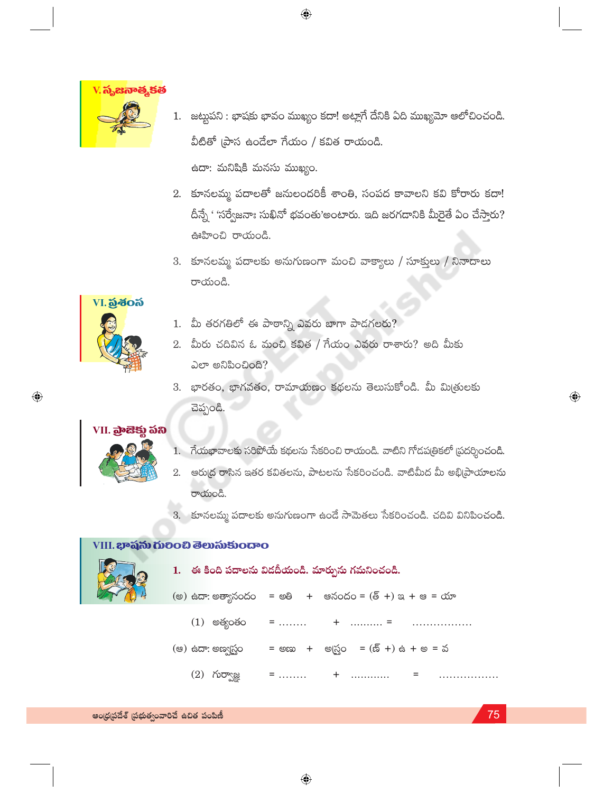

1. జట్టుపని : భాషకు భావం ముఖ్యం కదా! అట్లాగే దేనికి ఏది ముఖ్యమో ఆలోచించండి. వీటితో (పాస ఉండేలా గేయం / కవిత రాయండి.

 $\bigoplus$ 

ఉదా: మనిషికి మనసు ముఖ్యం.

- 2. కూనలమ్మ పదాలతో జనులందరికీ శాంతి, సంపద కావాలని కవి కోరారు కదా! దీన్నే ' 'సర్వేజనాః సుఖినో భవంతు'అంటారు. ఇది జరగడానికి మీరైతే ఏం చేస్తారు? ఊహించి రాయండి.
- 3. కూనలమ్మ పదాలకు అనుగుణంగా మంచి వాక్యాలు / సూక్తులు / నినాదాలు రాయండి.

# VI. อู้ชื่อจึ

 $\bigoplus$ 

- 1. మీ తరగతిలో ఈ పాఠాన్ని ఎవరు బాగా పాడగలరు?
- 2. మీరు చదివిన ఓ మంచి కవిత / గేయం ఎవరు రాశారు? అది మీకు ఎలా అనిపించింది?
- 3. భారతం, భాగవతం, రామాయణం కథలను తెలుసుకోండి. మీ మిత్రులకు చెప్పండి.

## VII. බැසිඡා **බහ**



- 1. గేయభావాలకు సరిపోయే కథలను సేకరించి రాయండి. వాటిని గోడపత్రికలో ప్రదర్శించండి.
- 2. ఆరు[ద రాసిన ఇతర కవితలను, పాటలను సేకరించండి. వాటిమీద మీ అభి[ప్రాయాలను రాయండి.
- 3. కూనలమ్మ పదాలకు అనుగుణంగా ఉండే సామెతలు సేకరించండి. చదివి వినిపించండి.

## VIII. **ಭಾ**ವನು ಗುರಿಂಬಿ ತೆಲುಸುకುಂದಾಂ



1. ఈ కింది పదాలను విడదీయండి. మార్పును గమనించండి. (అ) ఉదా: అత్యానందం = అతి + అనందం = (త్ +) ఇ + ఆ = యా  $(1)$  అత్యంతం  $=$  ........  $+$  ........... = . . . . . . . . . . . . . . . . . (ఆ) ఉదా: అణ్వర్టం = అణు + అ(స్తం = (ణ్ +) ఉ + అ = వ  $(2)$  గుర్వాజ్ఞ  $=$  ........  $+$ . . . . . . . . . . . . .  $=$ 

 $\bigoplus$